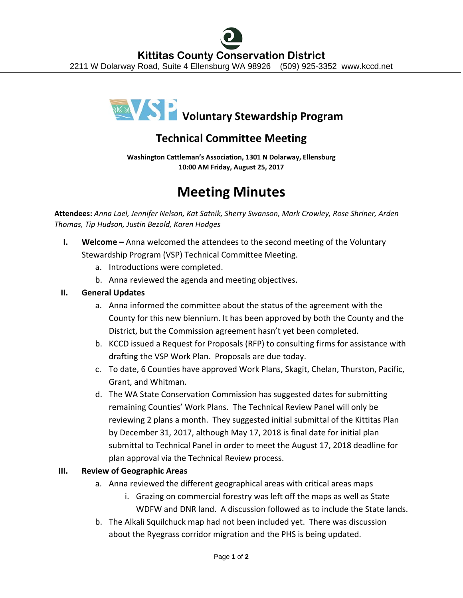

# **Technical Committee Meeting**

**Washington Cattleman's Association, 1301 N Dolarway, Ellensburg 10:00 AM Friday, August 25, 2017**

# **Meeting Minutes**

**Attendees:** *Anna Lael, Jennifer Nelson, Kat Satnik, Sherry Swanson, Mark Crowley, Rose Shriner, Arden Thomas, Tip Hudson, Justin Bezold, Karen Hodges*

- **I. Welcome –** Anna welcomed the attendees to the second meeting of the Voluntary Stewardship Program (VSP) Technical Committee Meeting.
	- a. Introductions were completed.
	- b. Anna reviewed the agenda and meeting objectives.

## **II. General Updates**

- a. Anna informed the committee about the status of the agreement with the County for this new biennium. It has been approved by both the County and the District, but the Commission agreement hasn't yet been completed.
- b. KCCD issued a Request for Proposals (RFP) to consulting firms for assistance with drafting the VSP Work Plan. Proposals are due today.
- c. To date, 6 Counties have approved Work Plans, Skagit, Chelan, Thurston, Pacific, Grant, and Whitman.
- d. The WA State Conservation Commission has suggested dates for submitting remaining Counties' Work Plans. The Technical Review Panel will only be reviewing 2 plans a month. They suggested initial submittal of the Kittitas Plan by December 31, 2017, although May 17, 2018 is final date for initial plan submittal to Technical Panel in order to meet the August 17, 2018 deadline for plan approval via the Technical Review process.

### **III. Review of Geographic Areas**

- a. Anna reviewed the different geographical areas with critical areas maps
	- i. Grazing on commercial forestry was left off the maps as well as State WDFW and DNR land. A discussion followed as to include the State lands.
- b. The Alkali Squilchuck map had not been included yet. There was discussion about the Ryegrass corridor migration and the PHS is being updated.